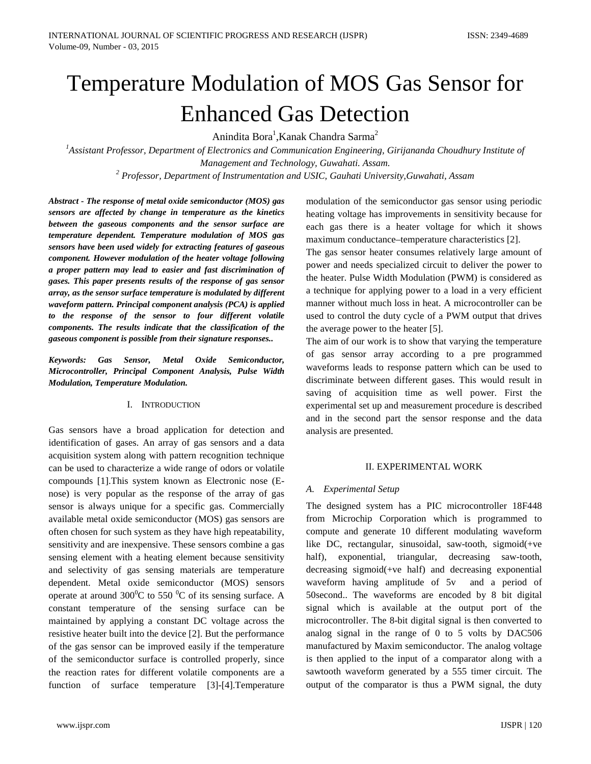# Temperature Modulation of MOS Gas Sensor for Enhanced Gas Detection

Anindita Bora<sup>1</sup>, Kanak Chandra Sarma<sup>2</sup>

<sup>1</sup> Assistant Professor, Department of Electronics and Communication Engineering, Girijananda Choudhury Institute of *Management and Technology, Guwahati. Assam. <sup>2</sup> Professor, Department of Instrumentation and USIC, Gauhati University,Guwahati, Assam*

*Abstract - The response of metal oxide semiconductor (MOS) gas sensors are affected by change in temperature as the kinetics between the gaseous components and the sensor surface are temperature dependent. Temperature modulation of MOS gas sensors have been used widely for extracting features of gaseous component. However modulation of the heater voltage following a proper pattern may lead to easier and fast discrimination of gases. This paper presents results of the response of gas sensor array, as the sensor surface temperature is modulated by different waveform pattern. Principal component analysis (PCA) is applied to the response of the sensor to four different volatile components. The results indicate that the classification of the gaseous component is possible from their signature responses..*

*Keywords: Gas Sensor, Metal Oxide Semiconductor, Microcontroller, Principal Component Analysis, Pulse Width Modulation, Temperature Modulation.*

# I. INTRODUCTION

Gas sensors have a broad application for detection and identification of gases. An array of gas sensors and a data acquisition system along with pattern recognition technique can be used to characterize a wide range of odors or volatile compounds [1].This system known as Electronic nose (Enose) is very popular as the response of the array of gas sensor is always unique for a specific gas. Commercially available metal oxide semiconductor (MOS) gas sensors are often chosen for such system as they have high repeatability, sensitivity and are inexpensive. These sensors combine a gas sensing element with a heating element because sensitivity and selectivity of gas sensing materials are temperature dependent. Metal oxide semiconductor (MOS) sensors operate at around  $300^{\circ}$ C to 550  $^{\circ}$ C of its sensing surface. A constant temperature of the sensing surface can be maintained by applying a constant DC voltage across the resistive heater built into the device [2]. But the performance of the gas sensor can be improved easily if the temperature of the semiconductor surface is controlled properly, since the reaction rates for different volatile components are a function of surface temperature [3]-[4].Temperature

modulation of the semiconductor gas sensor using periodic heating voltage has improvements in sensitivity because for each gas there is a heater voltage for which it shows maximum conductance–temperature characteristics [2].

The gas sensor heater consumes relatively large amount of power and needs specialized circuit to deliver the power to the heater. Pulse Width Modulation (PWM) is considered as a technique for applying power to a load in a very efficient manner without much loss in heat. A microcontroller can be used to control the duty cycle of a PWM output that drives the average power to the heater [5].

The aim of our work is to show that varying the temperature of gas sensor array according to a pre programmed waveforms leads to response pattern which can be used to discriminate between different gases. This would result in saving of acquisition time as well power. First the experimental set up and measurement procedure is described and in the second part the sensor response and the data analysis are presented.

# II. EXPERIMENTAL WORK

# *A. Experimental Setup*

The designed system has a PIC microcontroller 18F448 from Microchip Corporation which is programmed to compute and generate 10 different modulating waveform like DC, rectangular, sinusoidal, saw-tooth, sigmoid(+ve half), exponential, triangular, decreasing saw-tooth, decreasing sigmoid(+ve half) and decreasing exponential waveform having amplitude of 5v and a period of 50second.. The waveforms are encoded by 8 bit digital signal which is available at the output port of the microcontroller. The 8-bit digital signal is then converted to analog signal in the range of 0 to 5 volts by DAC506 manufactured by Maxim semiconductor. The analog voltage is then applied to the input of a comparator along with a sawtooth waveform generated by a 555 timer circuit. The output of the comparator is thus a PWM signal, the duty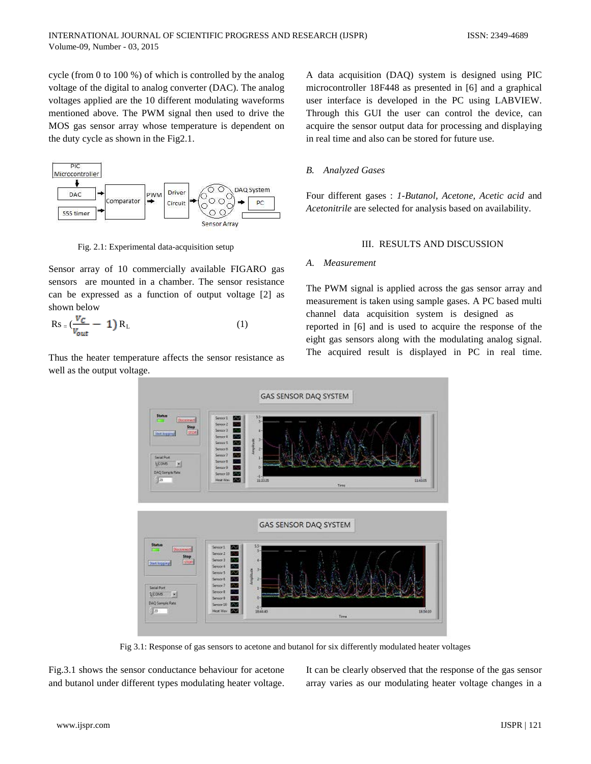cycle (from 0 to 100 %) of which is controlled by the analog voltage of the digital to analog converter (DAC). The analog voltages applied are the 10 different modulating waveforms mentioned above. The PWM signal then used to drive the MOS gas sensor array whose temperature is dependent on the duty cycle as shown in the Fig2.1.



Fig. 2.1: Experimental data-acquisition setup

Sensor array of 10 commercially available FIGARO gas sensors are mounted in a chamber. The sensor resistance can be expressed as a function of output voltage [2] as shown below

$$
Rs = \left(\frac{v_{\mathcal{C}}}{v_{out}} - 1\right)R_L\tag{1}
$$

Thus the heater temperature affects the sensor resistance as well as the output voltage.

A data acquisition (DAQ) system is designed using PIC microcontroller 18F448 as presented in [6] and a graphical user interface is developed in the PC using LABVIEW. Through this GUI the user can control the device, can acquire the sensor output data for processing and displaying in real time and also can be stored for future use.

# *B. Analyzed Gases*

Four different gases : *1-Butanol, Acetone, Acetic acid* and *Acetonitrile* are selected for analysis based on availability.

# III. RESULTS AND DISCUSSION

#### *A. Measurement*

The PWM signal is applied across the gas sensor array and measurement is taken using sample gases. A PC based multi channel data acquisition system is designed as reported in [6] and is used to acquire the response of the eight gas sensors along with the modulating analog signal. The acquired result is displayed in PC in real time.



Fig 3.1: Response of gas sensors to acetone and butanol for six differently modulated heater voltages

Fig.3.1 shows the sensor conductance behaviour for acetone and butanol under different types modulating heater voltage.

It can be clearly observed that the response of the gas sensor array varies as our modulating heater voltage changes in a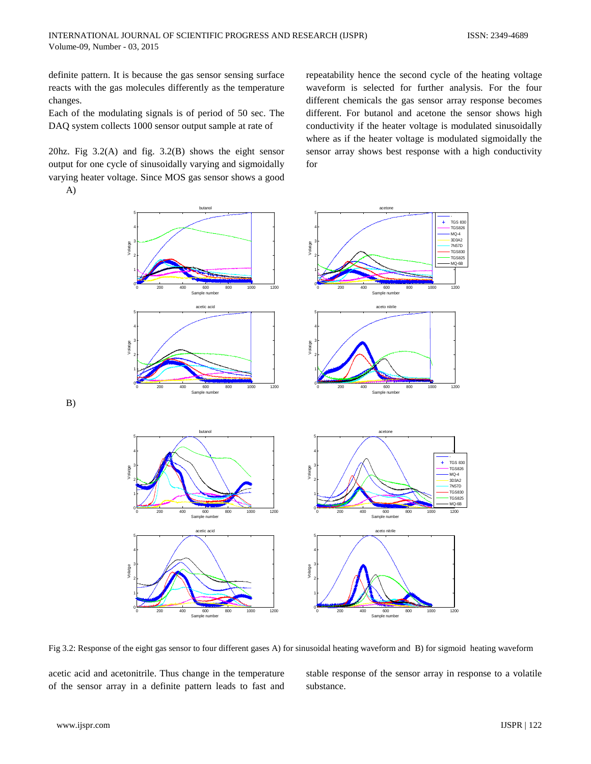definite pattern. It is because the gas sensor sensing surface reacts with the gas molecules differently as the temperature changes.

Each of the modulating signals is of period of 50 sec. The DAQ system collects 1000 sensor output sample at rate of

20hz. Fig 3.2(A) and fig. 3.2(B) shows the eight sensor output for one cycle of sinusoidally varying and sigmoidally varying heater voltage. Since MOS gas sensor shows a good

A)

B)

repeatability hence the second cycle of the heating voltage waveform is selected for further analysis. For the four different chemicals the gas sensor array response becomes different. For butanol and acetone the sensor shows high conductivity if the heater voltage is modulated sinusoidally where as if the heater voltage is modulated sigmoidally the sensor array shows best response with a high conductivity for



Fig 3.2: Response of the eight gas sensor to four different gases A) for sinusoidal heating waveform and B) for sigmoid heating waveform

acetic acid and acetonitrile. Thus change in the temperature of the sensor array in a definite pattern leads to fast and stable response of the sensor array in response to a volatile substance.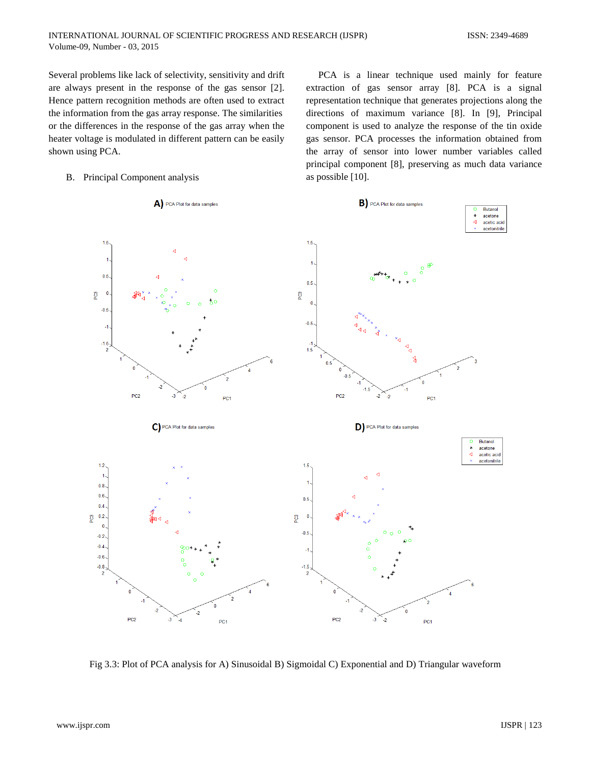Several problems like lack of selectivity, sensitivity and drift are always present in the response of the gas sensor [2]. Hence pattern recognition methods are often used to extract the information from the gas array response. The similarities or the differences in the response of the gas array when the heater voltage is modulated in different pattern can be easily shown using PCA.

#### B. Principal Component analysis

 PCA is a linear technique used mainly for feature extraction of gas sensor array [8]. PCA is a signal representation technique that generates projections along the directions of maximum variance [8]. In [9], Principal component is used to analyze the response of the tin oxide gas sensor. PCA processes the information obtained from the array of sensor into lower number variables called principal component [8], preserving as much data variance as possible [10].



Fig 3.3: Plot of PCA analysis for A) Sinusoidal B) Sigmoidal C) Exponential and D) Triangular waveform